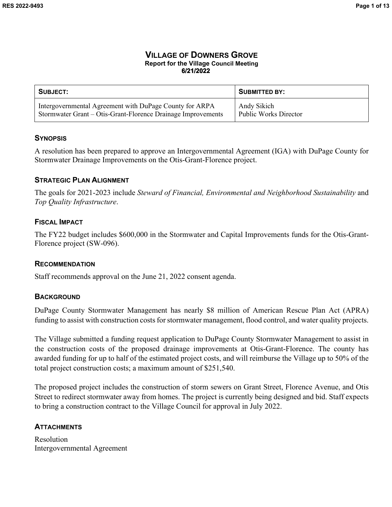### **VILLAGE OF DOWNERS GROVE Report for the Village Council Meeting 6/21/2022**

| SUBJECT:                                                     | <b>SUBMITTED BY:</b>  |
|--------------------------------------------------------------|-----------------------|
| Intergovernmental Agreement with DuPage County for ARPA      | Andy Sikich           |
| Stormwater Grant – Otis-Grant-Florence Drainage Improvements | Public Works Director |

#### **SYNOPSIS**

A resolution has been prepared to approve an Intergovernmental Agreement (IGA) with DuPage County for Stormwater Drainage Improvements on the Otis-Grant-Florence project.

### **STRATEGIC PLAN ALIGNMENT**

The goals for 2021-2023 include *Steward of Financial, Environmental and Neighborhood Sustainability* and *Top Quality Infrastructure*.

### **FISCAL IMPACT**

The FY22 budget includes \$600,000 in the Stormwater and Capital Improvements funds for the Otis-Grant-Florence project (SW-096).

### **RECOMMENDATION**

Staff recommends approval on the June 21, 2022 consent agenda.

#### **BACKGROUND**

DuPage County Stormwater Management has nearly \$8 million of American Rescue Plan Act (APRA) funding to assist with construction costs for stormwater management, flood control, and water quality projects.

The Village submitted a funding request application to DuPage County Stormwater Management to assist in the construction costs of the proposed drainage improvements at Otis-Grant-Florence. The county has awarded funding for up to half of the estimated project costs, and will reimburse the Village up to 50% of the total project construction costs; a maximum amount of \$251,540.

The proposed project includes the construction of storm sewers on Grant Street, Florence Avenue, and Otis Street to redirect stormwater away from homes. The project is currently being designed and bid. Staff expects to bring a construction contract to the Village Council for approval in July 2022.

### **ATTACHMENTS**

Resolution Intergovernmental Agreement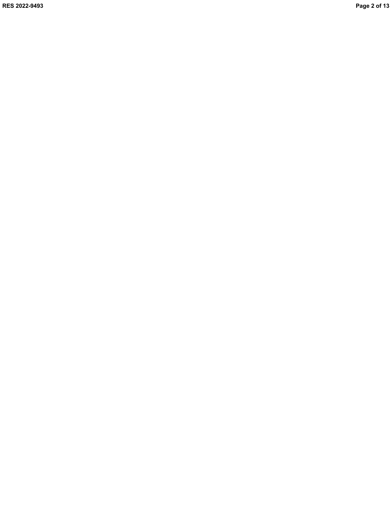**RES 2022-9493 Page 2 of 13**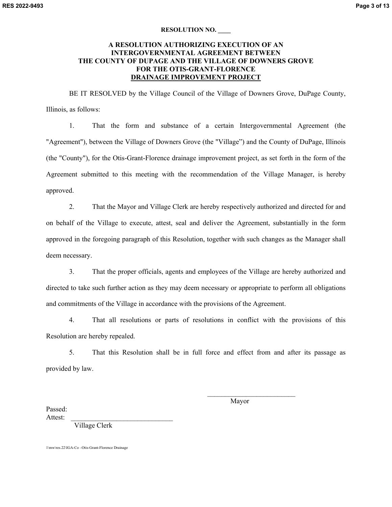#### **RESOLUTION NO. \_\_\_\_**

#### **A RESOLUTION AUTHORIZING EXECUTION OF AN INTERGOVERNMENTAL AGREEMENT BETWEEN THE COUNTY OF DUPAGE AND THE VILLAGE OF DOWNERS GROVE FOR THE OTIS-GRANT-FLORENCE DRAINAGE IMPROVEMENT PROJECT**

BE IT RESOLVED by the Village Council of the Village of Downers Grove, DuPage County, Illinois, as follows:

1. That the form and substance of a certain Intergovernmental Agreement (the "Agreement"), between the Village of Downers Grove (the "Village") and the County of DuPage, Illinois (the "County"), for the Otis-Grant-Florence drainage improvement project, as set forth in the form of the Agreement submitted to this meeting with the recommendation of the Village Manager, is hereby approved.

2. That the Mayor and Village Clerk are hereby respectively authorized and directed for and on behalf of the Village to execute, attest, seal and deliver the Agreement, substantially in the form approved in the foregoing paragraph of this Resolution, together with such changes as the Manager shall deem necessary.

3. That the proper officials, agents and employees of the Village are hereby authorized and directed to take such further action as they may deem necessary or appropriate to perform all obligations and commitments of the Village in accordance with the provisions of the Agreement.

4. That all resolutions or parts of resolutions in conflict with the provisions of this Resolution are hereby repealed.

5. That this Resolution shall be in full force and effect from and after its passage as provided by law.

Mayor

 $\mathcal{L}_\text{max}$ 

Passed: Attest:

Village Clerk

1\mw\res.22\IGA-Co –Otis-Grant-Florence Drainage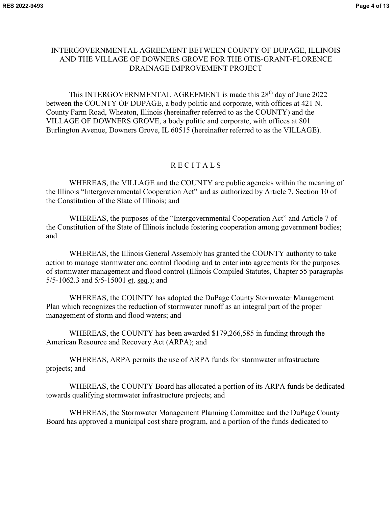### INTERGOVERNMENTAL AGREEMENT BETWEEN COUNTY OF DUPAGE, ILLINOIS AND THE VILLAGE OF DOWNERS GROVE FOR THE OTIS-GRANT-FLORENCE DRAINAGE IMPROVEMENT PROJECT

This INTERGOVERNMENTAL AGREEMENT is made this 28<sup>th</sup> day of June 2022 between the COUNTY OF DUPAGE, a body politic and corporate, with offices at 421 N. County Farm Road, Wheaton, Illinois (hereinafter referred to as the COUNTY) and the VILLAGE OF DOWNERS GROVE, a body politic and corporate, with offices at 801 Burlington Avenue, Downers Grove, IL 60515 (hereinafter referred to as the VILLAGE).

## **RECITALS**

WHEREAS, the VILLAGE and the COUNTY are public agencies within the meaning of the Illinois "Intergovernmental Cooperation Act" and as authorized by Article 7, Section 10 of the Constitution of the State of Illinois; and

 WHEREAS, the purposes of the "Intergovernmental Cooperation Act" and Article 7 of the Constitution of the State of Illinois include fostering cooperation among government bodies; and

 WHEREAS, the Illinois General Assembly has granted the COUNTY authority to take action to manage stormwater and control flooding and to enter into agreements for the purposes of stormwater management and flood control (Illinois Compiled Statutes, Chapter 55 paragraphs 5/5-1062.3 and 5/5-15001 et. seq.); and

WHEREAS, the COUNTY has adopted the DuPage County Stormwater Management Plan which recognizes the reduction of stormwater runoff as an integral part of the proper management of storm and flood waters; and

WHEREAS, the COUNTY has been awarded \$179,266,585 in funding through the American Resource and Recovery Act (ARPA); and

WHEREAS, ARPA permits the use of ARPA funds for stormwater infrastructure projects; and

WHEREAS, the COUNTY Board has allocated a portion of its ARPA funds be dedicated towards qualifying stormwater infrastructure projects; and

WHEREAS, the Stormwater Management Planning Committee and the DuPage County Board has approved a municipal cost share program, and a portion of the funds dedicated to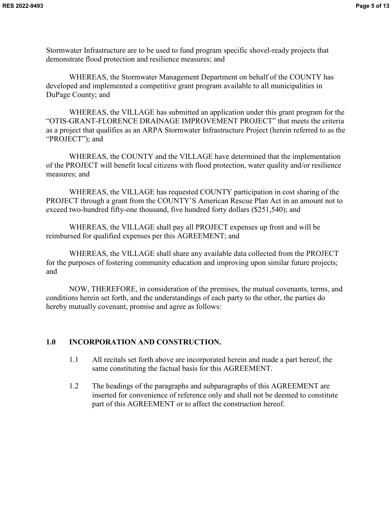Stormwater Infrastructure are to be used to fund program specific shovel-ready projects that demonstrate flood protection and resilience measures; and

WHEREAS, the Stormwater Management Department on behalf of the COUNTY has developed and implemented a competitive grant program available to all municipalities in DuPage County; and

WHEREAS, the VILLAGE has submitted an application under this grant program for the "OTIS-GRANT-FLORENCE DRAINAGE IMPROVEMENT PROJECT" that meets the criteria as a project that qualifies as an ARPA Stormwater Infrastructure Project (herein referred to as the "PROJECT"); and

WHEREAS, the COUNTY and the VILLAGE have determined that the implementation of the PROJECT will benefit local citizens with flood protection, water quality and/or resilience measures; and

WHEREAS, the VILLAGE has requested COUNTY participation in cost sharing of the PROJECT through a grant from the COUNTY'S American Rescue Plan Act in an amount not to exceed two-hundred fifty-one thousand, five hundred forty dollars (\$251,540); and

WHEREAS, the VILLAGE shall pay all PROJECT expenses up front and will be reimbursed for qualified expenses per this AGREEMENT; and

WHEREAS, the VILLAGE shall share any available data collected from the PROJECT for the purposes of fostering community education and improving upon similar future projects; and

NOW, THEREFORE, in consideration of the premises, the mutual covenants, terms, and conditions herein set forth, and the understandings of each party to the other, the parties do hereby mutually covenant, promise and agree as follows:

### **1.0 INCORPORATION AND CONSTRUCTION.**

- 1.1 All recitals set forth above are incorporated herein and made a part hereof, the same constituting the factual basis for this AGREEMENT.
- 1.2 The headings of the paragraphs and subparagraphs of this AGREEMENT are inserted for convenience of reference only and shall not be deemed to constitute part of this AGREEMENT or to affect the construction hereof.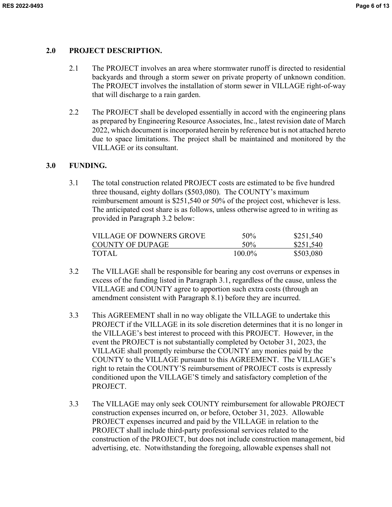#### **2.0 PROJECT DESCRIPTION.**

- 2.1 The PROJECT involves an area where stormwater runoff is directed to residential backyards and through a storm sewer on private property of unknown condition. The PROJECT involves the installation of storm sewer in VILLAGE right-of-way that will discharge to a rain garden.
- 2.2 The PROJECT shall be developed essentially in accord with the engineering plans as prepared by Engineering Resource Associates, Inc., latest revision date of March 2022, which document is incorporated herein by reference but is not attached hereto due to space limitations. The project shall be maintained and monitored by the VILLAGE or its consultant.

#### **3.0 FUNDING.**

3.1 The total construction related PROJECT costs are estimated to be five hundred three thousand, eighty dollars (\$503,080). The COUNTY's maximum reimbursement amount is \$251,540 or 50% of the project cost, whichever is less. The anticipated cost share is as follows, unless otherwise agreed to in writing as provided in Paragraph 3.2 below:

| <b>VILLAGE OF DOWNERS GROVE</b> | $50\%$    | \$251,540 |
|---------------------------------|-----------|-----------|
| COUNTY OF DUPAGE                | $50\%$    | \$251,540 |
| TOTAL                           | $100.0\%$ | \$503,080 |

- 3.2 The VILLAGE shall be responsible for bearing any cost overruns or expenses in excess of the funding listed in Paragraph 3.1, regardless of the cause, unless the VILLAGE and COUNTY agree to apportion such extra costs (through an amendment consistent with Paragraph 8.1) before they are incurred.
- 3.3 This AGREEMENT shall in no way obligate the VILLAGE to undertake this PROJECT if the VILLAGE in its sole discretion determines that it is no longer in the VILLAGE's best interest to proceed with this PROJECT. However, in the event the PROJECT is not substantially completed by October 31, 2023, the VILLAGE shall promptly reimburse the COUNTY any monies paid by the COUNTY to the VILLAGE pursuant to this AGREEMENT. The VILLAGE's right to retain the COUNTY'S reimbursement of PROJECT costs is expressly conditioned upon the VILLAGE'S timely and satisfactory completion of the PROJECT.
- 3.3 The VILLAGE may only seek COUNTY reimbursement for allowable PROJECT construction expenses incurred on, or before, October 31, 2023. Allowable PROJECT expenses incurred and paid by the VILLAGE in relation to the PROJECT shall include third-party professional services related to the construction of the PROJECT, but does not include construction management, bid advertising, etc. Notwithstanding the foregoing, allowable expenses shall not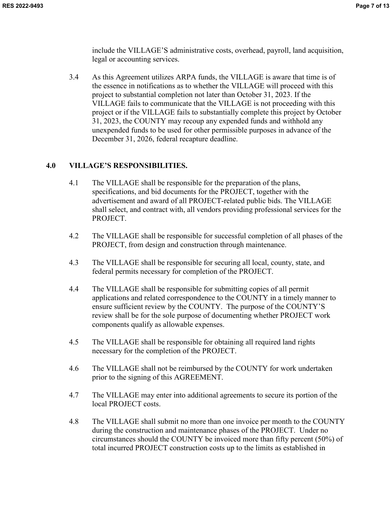include the VILLAGE'S administrative costs, overhead, payroll, land acquisition, legal or accounting services.

3.4 As this Agreement utilizes ARPA funds, the VILLAGE is aware that time is of the essence in notifications as to whether the VILLAGE will proceed with this project to substantial completion not later than October 31, 2023. If the VILLAGE fails to communicate that the VILLAGE is not proceeding with this project or if the VILLAGE fails to substantially complete this project by October 31, 2023, the COUNTY may recoup any expended funds and withhold any unexpended funds to be used for other permissible purposes in advance of the December 31, 2026, federal recapture deadline.

## **4.0 VILLAGE'S RESPONSIBILITIES.**

- 4.1 The VILLAGE shall be responsible for the preparation of the plans, specifications, and bid documents for the PROJECT, together with the advertisement and award of all PROJECT-related public bids. The VILLAGE shall select, and contract with, all vendors providing professional services for the PROJECT.
- 4.2 The VILLAGE shall be responsible for successful completion of all phases of the PROJECT, from design and construction through maintenance.
- 4.3 The VILLAGE shall be responsible for securing all local, county, state, and federal permits necessary for completion of the PROJECT.
- 4.4 The VILLAGE shall be responsible for submitting copies of all permit applications and related correspondence to the COUNTY in a timely manner to ensure sufficient review by the COUNTY. The purpose of the COUNTY'S review shall be for the sole purpose of documenting whether PROJECT work components qualify as allowable expenses.
- 4.5 The VILLAGE shall be responsible for obtaining all required land rights necessary for the completion of the PROJECT.
- 4.6 The VILLAGE shall not be reimbursed by the COUNTY for work undertaken prior to the signing of this AGREEMENT.
- 4.7 The VILLAGE may enter into additional agreements to secure its portion of the local PROJECT costs.
- 4.8 The VILLAGE shall submit no more than one invoice per month to the COUNTY during the construction and maintenance phases of the PROJECT. Under no circumstances should the COUNTY be invoiced more than fifty percent (50%) of total incurred PROJECT construction costs up to the limits as established in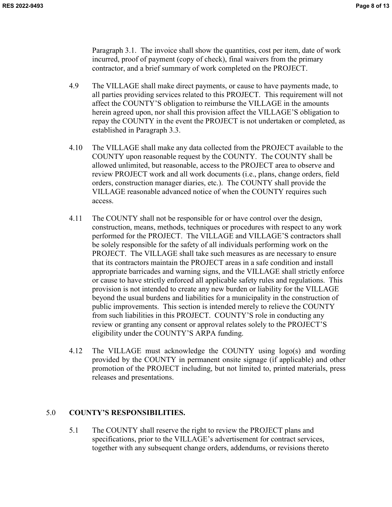Paragraph 3.1. The invoice shall show the quantities, cost per item, date of work incurred, proof of payment (copy of check), final waivers from the primary contractor, and a brief summary of work completed on the PROJECT.

- 4.9 The VILLAGE shall make direct payments, or cause to have payments made, to all parties providing services related to this PROJECT. This requirement will not affect the COUNTY'S obligation to reimburse the VILLAGE in the amounts herein agreed upon, nor shall this provision affect the VILLAGE'S obligation to repay the COUNTY in the event the PROJECT is not undertaken or completed, as established in Paragraph 3.3.
- 4.10 The VILLAGE shall make any data collected from the PROJECT available to the COUNTY upon reasonable request by the COUNTY. The COUNTY shall be allowed unlimited, but reasonable, access to the PROJECT area to observe and review PROJECT work and all work documents (i.e., plans, change orders, field orders, construction manager diaries, etc.). The COUNTY shall provide the VILLAGE reasonable advanced notice of when the COUNTY requires such access.
- 4.11 The COUNTY shall not be responsible for or have control over the design, construction, means, methods, techniques or procedures with respect to any work performed for the PROJECT. The VILLAGE and VILLAGE'S contractors shall be solely responsible for the safety of all individuals performing work on the PROJECT. The VILLAGE shall take such measures as are necessary to ensure that its contractors maintain the PROJECT areas in a safe condition and install appropriate barricades and warning signs, and the VILLAGE shall strictly enforce or cause to have strictly enforced all applicable safety rules and regulations. This provision is not intended to create any new burden or liability for the VILLAGE beyond the usual burdens and liabilities for a municipality in the construction of public improvements. This section is intended merely to relieve the COUNTY from such liabilities in this PROJECT. COUNTY'S role in conducting any review or granting any consent or approval relates solely to the PROJECT'S eligibility under the COUNTY'S ARPA funding.
- 4.12 The VILLAGE must acknowledge the COUNTY using logo(s) and wording provided by the COUNTY in permanent onsite signage (if applicable) and other promotion of the PROJECT including, but not limited to, printed materials, press releases and presentations.

### 5.0 **COUNTY'S RESPONSIBILITIES.**

5.1 The COUNTY shall reserve the right to review the PROJECT plans and specifications, prior to the VILLAGE's advertisement for contract services, together with any subsequent change orders, addendums, or revisions thereto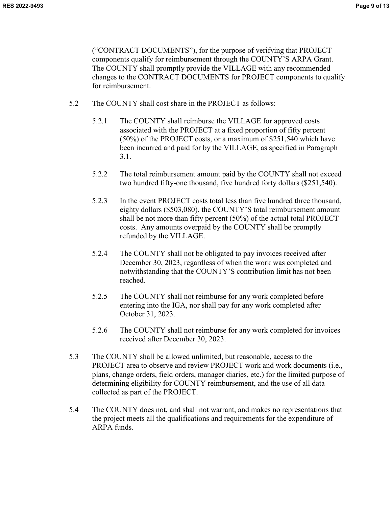("CONTRACT DOCUMENTS"), for the purpose of verifying that PROJECT components qualify for reimbursement through the COUNTY'S ARPA Grant. The COUNTY shall promptly provide the VILLAGE with any recommended changes to the CONTRACT DOCUMENTS for PROJECT components to qualify for reimbursement.

- 5.2 The COUNTY shall cost share in the PROJECT as follows:
	- 5.2.1 The COUNTY shall reimburse the VILLAGE for approved costs associated with the PROJECT at a fixed proportion of fifty percent (50%) of the PROJECT costs, or a maximum of \$251,540 which have been incurred and paid for by the VILLAGE, as specified in Paragraph 3.1.
	- 5.2.2 The total reimbursement amount paid by the COUNTY shall not exceed two hundred fifty-one thousand, five hundred forty dollars (\$251,540).
	- 5.2.3 In the event PROJECT costs total less than five hundred three thousand, eighty dollars (\$503,080), the COUNTY'S total reimbursement amount shall be not more than fifty percent (50%) of the actual total PROJECT costs. Any amounts overpaid by the COUNTY shall be promptly refunded by the VILLAGE.
	- 5.2.4 The COUNTY shall not be obligated to pay invoices received after December 30, 2023, regardless of when the work was completed and notwithstanding that the COUNTY'S contribution limit has not been reached.
	- 5.2.5 The COUNTY shall not reimburse for any work completed before entering into the IGA, nor shall pay for any work completed after October 31, 2023.
	- 5.2.6 The COUNTY shall not reimburse for any work completed for invoices received after December 30, 2023.
- 5.3 The COUNTY shall be allowed unlimited, but reasonable, access to the PROJECT area to observe and review PROJECT work and work documents (i.e., plans, change orders, field orders, manager diaries, etc.) for the limited purpose of determining eligibility for COUNTY reimbursement, and the use of all data collected as part of the PROJECT.
- 5.4 The COUNTY does not, and shall not warrant, and makes no representations that the project meets all the qualifications and requirements for the expenditure of ARPA funds.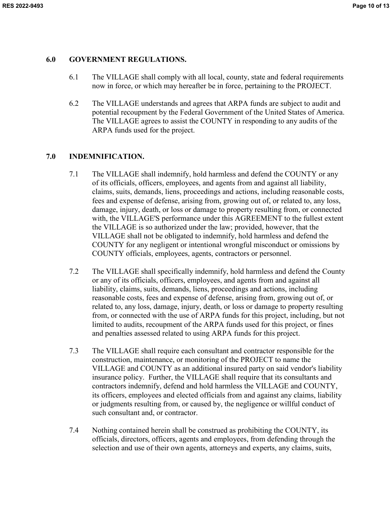#### **6.0 GOVERNMENT REGULATIONS.**

- 6.1 The VILLAGE shall comply with all local, county, state and federal requirements now in force, or which may hereafter be in force, pertaining to the PROJECT.
- 6.2 The VILLAGE understands and agrees that ARPA funds are subject to audit and potential recoupment by the Federal Government of the United States of America. The VILLAGE agrees to assist the COUNTY in responding to any audits of the ARPA funds used for the project.

### **7.0 INDEMNIFICATION.**

- 7.1 The VILLAGE shall indemnify, hold harmless and defend the COUNTY or any of its officials, officers, employees, and agents from and against all liability, claims, suits, demands, liens, proceedings and actions, including reasonable costs, fees and expense of defense, arising from, growing out of, or related to, any loss, damage, injury, death, or loss or damage to property resulting from, or connected with, the VILLAGE'S performance under this AGREEMENT to the fullest extent the VILLAGE is so authorized under the law; provided, however, that the VILLAGE shall not be obligated to indemnify, hold harmless and defend the COUNTY for any negligent or intentional wrongful misconduct or omissions by COUNTY officials, employees, agents, contractors or personnel.
- 7.2 The VILLAGE shall specifically indemnify, hold harmless and defend the County or any of its officials, officers, employees, and agents from and against all liability, claims, suits, demands, liens, proceedings and actions, including reasonable costs, fees and expense of defense, arising from, growing out of, or related to, any loss, damage, injury, death, or loss or damage to property resulting from, or connected with the use of ARPA funds for this project, including, but not limited to audits, recoupment of the ARPA funds used for this project, or fines and penalties assessed related to using ARPA funds for this project.
- 7.3 The VILLAGE shall require each consultant and contractor responsible for the construction, maintenance, or monitoring of the PROJECT to name the VILLAGE and COUNTY as an additional insured party on said vendor's liability insurance policy. Further, the VILLAGE shall require that its consultants and contractors indemnify, defend and hold harmless the VILLAGE and COUNTY, its officers, employees and elected officials from and against any claims, liability or judgments resulting from, or caused by, the negligence or willful conduct of such consultant and, or contractor.
- 7.4 Nothing contained herein shall be construed as prohibiting the COUNTY, its officials, directors, officers, agents and employees, from defending through the selection and use of their own agents, attorneys and experts, any claims, suits,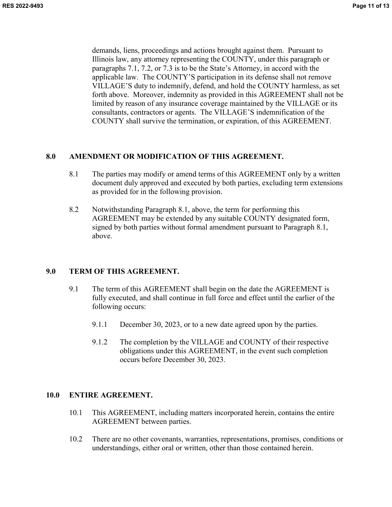demands, liens, proceedings and actions brought against them. Pursuant to Illinois law, any attorney representing the COUNTY, under this paragraph or paragraphs 7.1, 7.2, or 7.3 is to be the State's Attorney, in accord with the applicable law. The COUNTY'S participation in its defense shall not remove VILLAGE'S duty to indemnify, defend, and hold the COUNTY harmless, as set forth above. Moreover, indemnity as provided in this AGREEMENT shall not be limited by reason of any insurance coverage maintained by the VILLAGE or its consultants, contractors or agents. The VILLAGE'S indemnification of the COUNTY shall survive the termination, or expiration, of this AGREEMENT.

### **8.0 AMENDMENT OR MODIFICATION OF THIS AGREEMENT.**

- 8.1 The parties may modify or amend terms of this AGREEMENT only by a written document duly approved and executed by both parties, excluding term extensions as provided for in the following provision.
- 8.2 Notwithstanding Paragraph 8.1, above, the term for performing this AGREEMENT may be extended by any suitable COUNTY designated form, signed by both parties without formal amendment pursuant to Paragraph 8.1, above.

#### **9.0 TERM OF THIS AGREEMENT.**

- 9.1 The term of this AGREEMENT shall begin on the date the AGREEMENT is fully executed, and shall continue in full force and effect until the earlier of the following occurs:
	- 9.1.1 December 30, 2023, or to a new date agreed upon by the parties.
	- 9.1.2 The completion by the VILLAGE and COUNTY of their respective obligations under this AGREEMENT, in the event such completion occurs before December 30, 2023.

#### **10.0 ENTIRE AGREEMENT.**

- 10.1 This AGREEMENT, including matters incorporated herein, contains the entire AGREEMENT between parties.
- 10.2 There are no other covenants, warranties, representations, promises, conditions or understandings, either oral or written, other than those contained herein.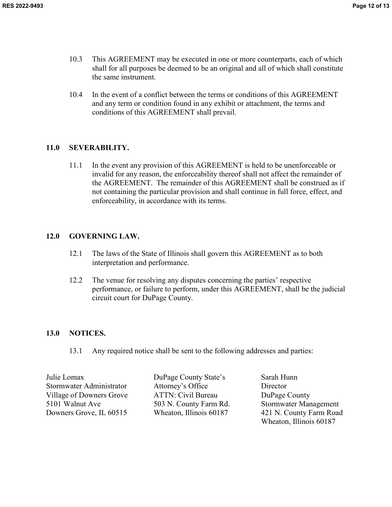- 10.3 This AGREEMENT may be executed in one or more counterparts, each of which shall for all purposes be deemed to be an original and all of which shall constitute the same instrument.
- 10.4 In the event of a conflict between the terms or conditions of this AGREEMENT and any term or condition found in any exhibit or attachment, the terms and conditions of this AGREEMENT shall prevail.

## **11.0 SEVERABILITY.**

11.1 In the event any provision of this AGREEMENT is held to be unenforceable or invalid for any reason, the enforceability thereof shall not affect the remainder of the AGREEMENT. The remainder of this AGREEMENT shall be construed as if not containing the particular provision and shall continue in full force, effect, and enforceability, in accordance with its terms.

## **12.0 GOVERNING LAW.**

- 12.1 The laws of the State of Illinois shall govern this AGREEMENT as to both interpretation and performance.
- 12.2 The venue for resolving any disputes concerning the parties' respective performance, or failure to perform, under this AGREEMENT, shall be the judicial circuit court for DuPage County.

## **13.0 NOTICES.**

13.1 Any required notice shall be sent to the following addresses and parties:

Julie Lomax Stormwater Administrator Village of Downers Grove 5101 Walnut Ave Downers Grove, IL 60515 DuPage County State's Attorney's Office ATTN: Civil Bureau 503 N. County Farm Rd. Wheaton, Illinois 60187

Sarah Hunn **Director** DuPage County Stormwater Management 421 N. County Farm Road Wheaton, Illinois 60187